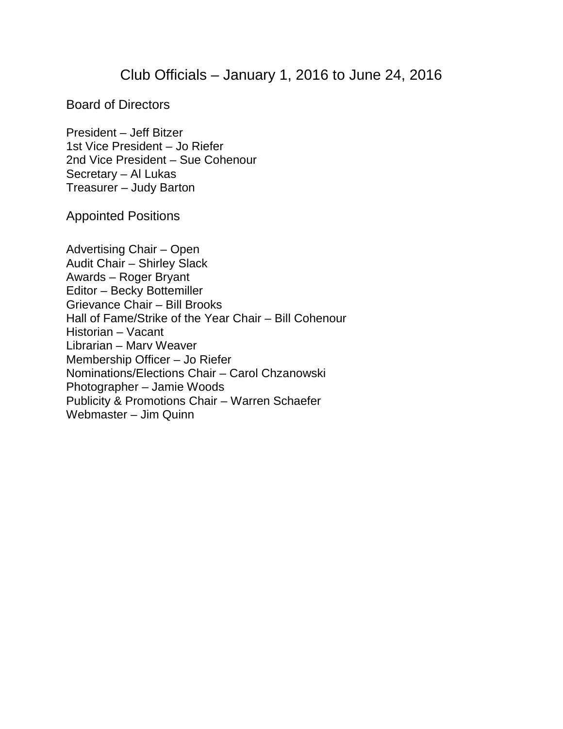## Club Officials – January 1, 2016 to June 24, 2016

Board of Directors

President – Jeff Bitzer 1st Vice President – Jo Riefer 2nd Vice President – Sue Cohenour Secretary – Al Lukas Treasurer – Judy Barton

Appointed Positions

Advertising Chair – Open Audit Chair – Shirley Slack Awards – Roger Bryant Editor – Becky Bottemiller Grievance Chair – Bill Brooks Hall of Fame/Strike of the Year Chair – Bill Cohenour Historian – Vacant Librarian – Marv Weaver Membership Officer – Jo Riefer Nominations/Elections Chair – Carol Chzanowski Photographer – Jamie Woods Publicity & Promotions Chair – Warren Schaefer Webmaster – Jim Quinn